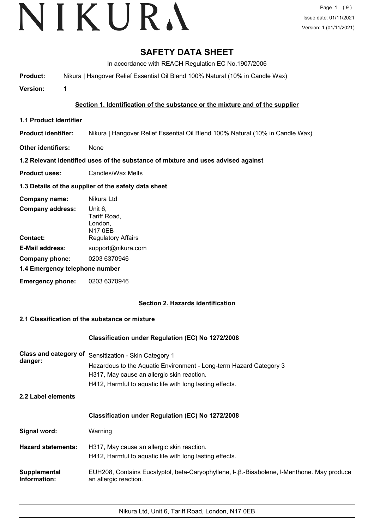# **SAFETY DATA SHEET**

In accordance with REACH Regulation EC No.1907/2006

**Product:** Nikura | Hangover Relief Essential Oil Blend 100% Natural (10% in Candle Wax)

**Version:** 1

# **Section 1. Identification of the substance or the mixture and of the supplier**

- **1.1 Product Identifier**
- **Product identifier:** Nikura | Hangover Relief Essential Oil Blend 100% Natural (10% in Candle Wax)
- **Other identifiers:** None

# **1.2 Relevant identified uses of the substance of mixture and uses advised against**

**Product uses:** Candles/Wax Melts

# **1.3 Details of the supplier of the safety data sheet**

| Company name:                  | Nikura Ltd                                           |
|--------------------------------|------------------------------------------------------|
| <b>Company address:</b>        | Unit 6,<br>Tariff Road,<br>London,<br><b>N17 0EB</b> |
| Contact:                       | <b>Regulatory Affairs</b>                            |
| <b>E-Mail address:</b>         | support@nikura.com                                   |
| Company phone:                 | 0203 6370946                                         |
| 1.4 Emergency telephone number |                                                      |
| <b>Emergency phone:</b>        | 0203 6370946                                         |

# **Section 2. Hazards identification**

# **2.1 Classification of the substance or mixture**

## **Classification under Regulation (EC) No 1272/2008**

| Class and category of<br>danger: | Sensitization - Skin Category 1<br>Hazardous to the Aquatic Environment - Long-term Hazard Category 3<br>H317, May cause an allergic skin reaction.<br>H412, Harmful to aquatic life with long lasting effects. |
|----------------------------------|-----------------------------------------------------------------------------------------------------------------------------------------------------------------------------------------------------------------|
| 2.2 Label elements               |                                                                                                                                                                                                                 |
|                                  | <b>Classification under Regulation (EC) No 1272/2008</b>                                                                                                                                                        |
| Signal word:                     | Warning                                                                                                                                                                                                         |
| <b>Hazard statements:</b>        | H317, May cause an allergic skin reaction.<br>H412, Harmful to aquatic life with long lasting effects.                                                                                                          |
| Supplemental<br>Information:     | EUH208, Contains Eucalyptol, beta-Caryophyllene, I-. B.-Bisabolene, I-Menthone. May produce<br>an allergic reaction.                                                                                            |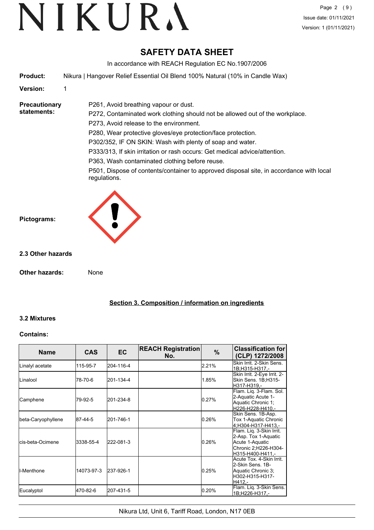# **SAFETY DATA SHEET**

In accordance with REACH Regulation EC No.1907/2006

**Product:** Nikura | Hangover Relief Essential Oil Blend 100% Natural (10% in Candle Wax)

P261, Avoid breathing vapour or dust.

# **Version:** 1

#### **Precautionary statements:**

P272, Contaminated work clothing should not be allowed out of the workplace. P273, Avoid release to the environment. P280, Wear protective gloves/eye protection/face protection. P302/352, IF ON SKIN: Wash with plenty of soap and water. P333/313, If skin irritation or rash occurs: Get medical advice/attention.

P363, Wash contaminated clothing before reuse.

P501, Dispose of contents/container to approved disposal site, in accordance with local regulations.



# **2.3 Other hazards**

**Other hazards:** None

**Section 3. Composition / information on ingredients**

# **3.2 Mixtures**

# **Contains:**

| <b>Name</b>        | <b>CAS</b> | <b>EC</b> | <b>REACH Registration</b><br>No. | $\%$  | <b>Classification for</b><br>(CLP) 1272/2008                                                                    |
|--------------------|------------|-----------|----------------------------------|-------|-----------------------------------------------------------------------------------------------------------------|
| Linalyl acetate    | 115-95-7   | 204-116-4 |                                  | 2.21% | Skin Irrit, 2-Skin Sens.<br>1B;H315-H317,-                                                                      |
| <b>I</b> Linalool  | 78-70-6    | 201-134-4 |                                  | 1.85% | Skin Irrit. 2-Eye Irrit. 2-<br>Skin Sens. 1B;H315-<br>H317-H319.-                                               |
| Camphene           | 79-92-5    | 201-234-8 |                                  | 0.27% | Flam. Liq. 3-Flam. Sol.<br>2-Aquatic Acute 1-<br>Aquatic Chronic 1:<br>H226-H228-H410.-                         |
| beta-Caryophyllene | 87-44-5    | 201-746-1 |                                  | 0.26% | Skin Sens. 1B-Asp.<br>Tox 1-Aquatic Chronic<br>4:H304-H317-H413.-                                               |
| lcis-beta-Ocimene  | 3338-55-4  | 222-081-3 |                                  | 0.26% | Flam. Liq. 3-Skin Irrit.<br>2-Asp. Tox 1-Aquatic<br>Acute 1-Aquatic<br>Chronic 2;H226-H304-<br>H315-H400-H411.- |
| ll-Menthone        | 14073-97-3 | 237-926-1 |                                  | 0.25% | Acute Tox. 4-Skin Irrit.<br>2-Skin Sens, 1B-<br>Aquatic Chronic 3;<br>H302-H315-H317-<br>H412.-                 |
| Eucalyptol         | 470-82-6   | 207-431-5 |                                  | 0.20% | Flam. Liq. 3-Skin Sens.<br>1B;H226-H317,-                                                                       |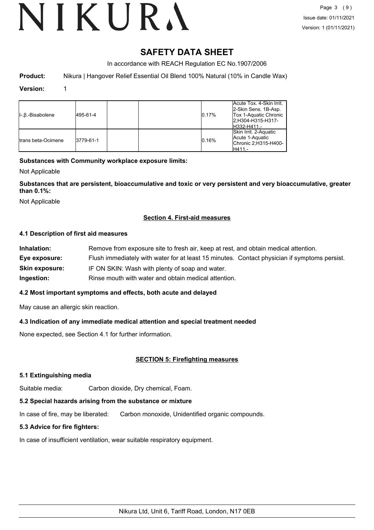# **SAFETY DATA SHEET**

In accordance with REACH Regulation EC No.1907/2006

**Product:** Nikura | Hangover Relief Essential Oil Blend 100% Natural (10% in Candle Wax)

### **Version:** 1

| II-.B.-Bisabolene   | 495-61-4  |  | 0.17% | Acute Tox. 4-Skin Irrit.<br>2-Skin Sens. 1B-Asp.<br>Tox 1-Aquatic Chronic<br>2:H304-H315-H317-<br>H332-H411.- |
|---------------------|-----------|--|-------|---------------------------------------------------------------------------------------------------------------|
| Itrans beta-Ocimene | 3779-61-1 |  | 0.16% | Skin Irrit. 2-Aquatic<br>Acute 1-Aquatic<br>Chronic 2;H315-H400-<br>H411.-                                    |

# **Substances with Community workplace exposure limits:**

Not Applicable

**Substances that are persistent, bioaccumulative and toxic or very persistent and very bioaccumulative, greater than 0.1%:**

Not Applicable

# **Section 4. First-aid measures**

## **4.1 Description of first aid measures**

| Inhalation:           | Remove from exposure site to fresh air, keep at rest, and obtain medical attention.          |
|-----------------------|----------------------------------------------------------------------------------------------|
| Eye exposure:         | Flush immediately with water for at least 15 minutes. Contact physician if symptoms persist. |
| <b>Skin exposure:</b> | IF ON SKIN: Wash with plenty of soap and water.                                              |
| Ingestion:            | Rinse mouth with water and obtain medical attention.                                         |

## **4.2 Most important symptoms and effects, both acute and delayed**

May cause an allergic skin reaction.

# **4.3 Indication of any immediate medical attention and special treatment needed**

None expected, see Section 4.1 for further information.

# **SECTION 5: Firefighting measures**

## **5.1 Extinguishing media**

Suitable media: Carbon dioxide, Dry chemical, Foam.

## **5.2 Special hazards arising from the substance or mixture**

In case of fire, may be liberated: Carbon monoxide, Unidentified organic compounds.

## **5.3 Advice for fire fighters:**

In case of insufficient ventilation, wear suitable respiratory equipment.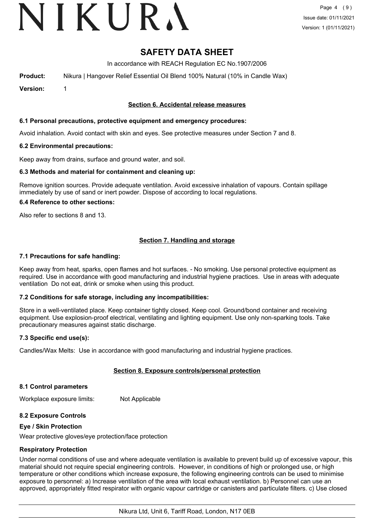# VIKURA

# **SAFETY DATA SHEET**

In accordance with REACH Regulation EC No.1907/2006

**Product:** Nikura | Hangover Relief Essential Oil Blend 100% Natural (10% in Candle Wax)

**Version:** 1

## **Section 6. Accidental release measures**

## **6.1 Personal precautions, protective equipment and emergency procedures:**

Avoid inhalation. Avoid contact with skin and eyes. See protective measures under Section 7 and 8.

#### **6.2 Environmental precautions:**

Keep away from drains, surface and ground water, and soil.

#### **6.3 Methods and material for containment and cleaning up:**

Remove ignition sources. Provide adequate ventilation. Avoid excessive inhalation of vapours. Contain spillage immediately by use of sand or inert powder. Dispose of according to local regulations.

#### **6.4 Reference to other sections:**

Also refer to sections 8 and 13.

# **Section 7. Handling and storage**

#### **7.1 Precautions for safe handling:**

Keep away from heat, sparks, open flames and hot surfaces. - No smoking. Use personal protective equipment as required. Use in accordance with good manufacturing and industrial hygiene practices. Use in areas with adequate ventilation Do not eat, drink or smoke when using this product.

## **7.2 Conditions for safe storage, including any incompatibilities:**

Store in a well-ventilated place. Keep container tightly closed. Keep cool. Ground/bond container and receiving equipment. Use explosion-proof electrical, ventilating and lighting equipment. Use only non-sparking tools. Take precautionary measures against static discharge.

## **7.3 Specific end use(s):**

Candles/Wax Melts: Use in accordance with good manufacturing and industrial hygiene practices.

## **Section 8. Exposure controls/personal protection**

#### **8.1 Control parameters**

Workplace exposure limits: Not Applicable

## **8.2 Exposure Controls**

#### **Eye / Skin Protection**

Wear protective gloves/eye protection/face protection

## **Respiratory Protection**

Under normal conditions of use and where adequate ventilation is available to prevent build up of excessive vapour, this material should not require special engineering controls. However, in conditions of high or prolonged use, or high temperature or other conditions which increase exposure, the following engineering controls can be used to minimise exposure to personnel: a) Increase ventilation of the area with local exhaust ventilation. b) Personnel can use an approved, appropriately fitted respirator with organic vapour cartridge or canisters and particulate filters. c) Use closed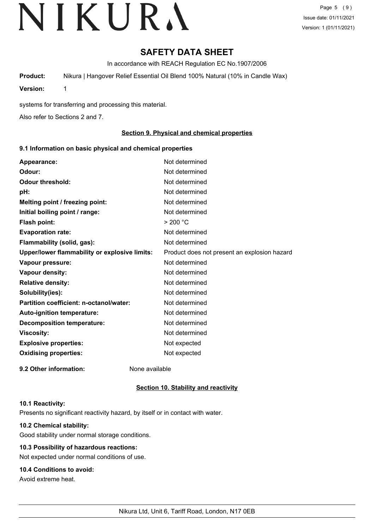# **SAFETY DATA SHEET**

In accordance with REACH Regulation EC No.1907/2006

**Product:** Nikura | Hangover Relief Essential Oil Blend 100% Natural (10% in Candle Wax)

**Version:** 1

systems for transferring and processing this material.

Also refer to Sections 2 and 7.

# **Section 9. Physical and chemical properties**

## **9.1 Information on basic physical and chemical properties**

| Appearance:                                   | Not determined                               |
|-----------------------------------------------|----------------------------------------------|
| Odour:                                        | Not determined                               |
| <b>Odour threshold:</b>                       | Not determined                               |
| pH:                                           | Not determined                               |
| Melting point / freezing point:               | Not determined                               |
| Initial boiling point / range:                | Not determined                               |
| <b>Flash point:</b>                           | > 200 °C                                     |
| <b>Evaporation rate:</b>                      | Not determined                               |
| Flammability (solid, gas):                    | Not determined                               |
| Upper/lower flammability or explosive limits: | Product does not present an explosion hazard |
| Vapour pressure:                              | Not determined                               |
| Vapour density:                               | Not determined                               |
| <b>Relative density:</b>                      | Not determined                               |
| Solubility(ies):                              | Not determined                               |
| Partition coefficient: n-octanol/water:       | Not determined                               |
| Auto-ignition temperature:                    | Not determined                               |
| <b>Decomposition temperature:</b>             | Not determined                               |
| <b>Viscosity:</b>                             | Not determined                               |
| <b>Explosive properties:</b>                  | Not expected                                 |
| <b>Oxidising properties:</b>                  | Not expected                                 |
| 9.2 Other information:                        | None available                               |

## **Section 10. Stability and reactivity**

#### **10.1 Reactivity:**

Presents no significant reactivity hazard, by itself or in contact with water.

# **10.2 Chemical stability:**

Good stability under normal storage conditions.

# **10.3 Possibility of hazardous reactions:**

Not expected under normal conditions of use.

# **10.4 Conditions to avoid:**

Avoid extreme heat.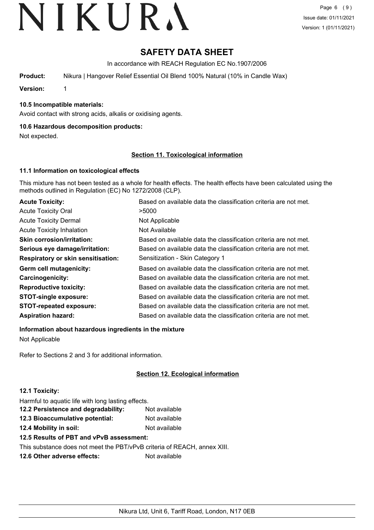# **SAFETY DATA SHEET**

In accordance with REACH Regulation EC No.1907/2006

**Product:** Nikura | Hangover Relief Essential Oil Blend 100% Natural (10% in Candle Wax)

**Version:** 1

# **10.5 Incompatible materials:**

Avoid contact with strong acids, alkalis or oxidising agents.

# **10.6 Hazardous decomposition products:**

Not expected.

# **Section 11. Toxicological information**

# **11.1 Information on toxicological effects**

This mixture has not been tested as a whole for health effects. The health effects have been calculated using the methods outlined in Regulation (EC) No 1272/2008 (CLP).

| <b>Acute Toxicity:</b>                    | Based on available data the classification criteria are not met. |
|-------------------------------------------|------------------------------------------------------------------|
| <b>Acute Toxicity Oral</b>                | >5000                                                            |
| <b>Acute Toxicity Dermal</b>              | Not Applicable                                                   |
| <b>Acute Toxicity Inhalation</b>          | Not Available                                                    |
| <b>Skin corrosion/irritation:</b>         | Based on available data the classification criteria are not met. |
| Serious eye damage/irritation:            | Based on available data the classification criteria are not met. |
| <b>Respiratory or skin sensitisation:</b> | Sensitization - Skin Category 1                                  |
| Germ cell mutagenicity:                   | Based on available data the classification criteria are not met. |
| Carcinogenicity:                          | Based on available data the classification criteria are not met. |
| <b>Reproductive toxicity:</b>             | Based on available data the classification criteria are not met. |
| <b>STOT-single exposure:</b>              | Based on available data the classification criteria are not met. |
| <b>STOT-repeated exposure:</b>            | Based on available data the classification criteria are not met. |
| <b>Aspiration hazard:</b>                 | Based on available data the classification criteria are not met. |

**Information about hazardous ingredients in the mixture**

Not Applicable

Refer to Sections 2 and 3 for additional information.

# **Section 12. Ecological information**

# **12.1 Toxicity:**

Harmful to aquatic life with long lasting effects.

| 12.2 Persistence and degradability: | Not available |
|-------------------------------------|---------------|
| 12.3 Bioaccumulative potential:     | Not available |
| 12.4 Mobility in soil:              | Not available |

**12.5 Results of PBT and vPvB assessment:**

This substance does not meet the PBT/vPvB criteria of REACH, annex XIII.

**12.6 Other adverse effects:** Not available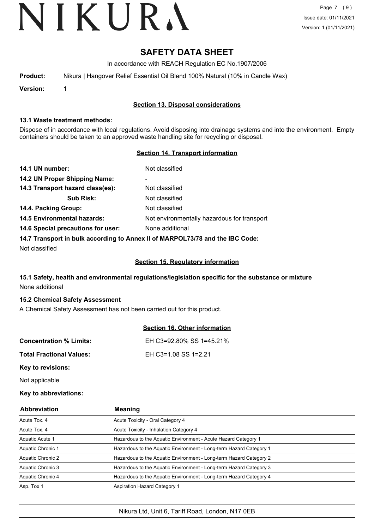# **SAFETY DATA SHEET**

In accordance with REACH Regulation EC No.1907/2006

| Product: |  |  |  |  | Nikura   Hangover Relief Essential Oil Blend 100% Natural (10% in Candle Wax) |  |
|----------|--|--|--|--|-------------------------------------------------------------------------------|--|
|----------|--|--|--|--|-------------------------------------------------------------------------------|--|

**Version:** 1

# **Section 13. Disposal considerations**

#### **13.1 Waste treatment methods:**

Dispose of in accordance with local regulations. Avoid disposing into drainage systems and into the environment. Empty containers should be taken to an approved waste handling site for recycling or disposal.

## **Section 14. Transport information**

| 14.1 UN number:                                                               | Not classified                              |  |
|-------------------------------------------------------------------------------|---------------------------------------------|--|
| 14.2 UN Proper Shipping Name:                                                 | ۰                                           |  |
| 14.3 Transport hazard class(es):                                              | Not classified                              |  |
| <b>Sub Risk:</b>                                                              | Not classified                              |  |
| 14.4. Packing Group:                                                          | Not classified                              |  |
| <b>14.5 Environmental hazards:</b>                                            | Not environmentally hazardous for transport |  |
| 14.6 Special precautions for user:                                            | None additional                             |  |
| 14.7 Transport in bulk according to Annex II of MARPOL73/78 and the IBC Code: |                                             |  |

Not classified

## **Section 15. Regulatory information**

# **15.1 Safety, health and environmental regulations/legislation specific for the substance or mixture** None additional

## **15.2 Chemical Safety Assessment**

A Chemical Safety Assessment has not been carried out for this product.

|                                 | <b>Section 16. Other information</b> |
|---------------------------------|--------------------------------------|
| <b>Concentration % Limits:</b>  | EH C3=92.80% SS 1=45.21%             |
| <b>Total Fractional Values:</b> | EH C3=1.08 SS 1=2.21                 |
| Key to revisions:               |                                      |

Not applicable

## **Key to abbreviations:**

| <b>Abbreviation</b> | Meaning                                                            |
|---------------------|--------------------------------------------------------------------|
| Acute Tox, 4        | Acute Toxicity - Oral Category 4                                   |
| Acute Tox, 4        | Acute Toxicity - Inhalation Category 4                             |
| Aquatic Acute 1     | Hazardous to the Aquatic Environment - Acute Hazard Category 1     |
| Aquatic Chronic 1   | Hazardous to the Aquatic Environment - Long-term Hazard Category 1 |
| Aquatic Chronic 2   | Hazardous to the Aquatic Environment - Long-term Hazard Category 2 |
| Aquatic Chronic 3   | Hazardous to the Aquatic Environment - Long-term Hazard Category 3 |
| Aquatic Chronic 4   | Hazardous to the Aquatic Environment - Long-term Hazard Category 4 |
| Asp. Tox 1          | Aspiration Hazard Category 1                                       |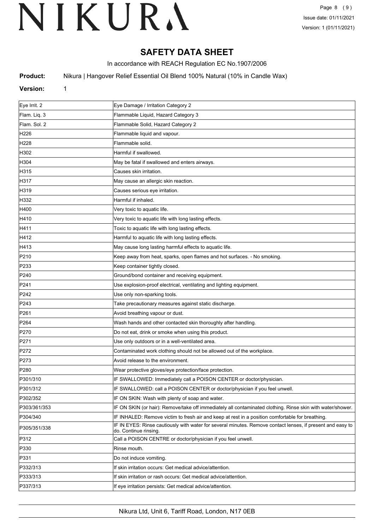# **SAFETY DATA SHEET**

In accordance with REACH Regulation EC No.1907/2006

**Product:** Nikura | Hangover Relief Essential Oil Blend 100% Natural (10% in Candle Wax)

## **Version:** 1

| Eye Irrit. 2     | Eye Damage / Irritation Category 2                                                                                                 |
|------------------|------------------------------------------------------------------------------------------------------------------------------------|
| Flam. Liq. 3     | Flammable Liquid, Hazard Category 3                                                                                                |
| Flam. Sol. 2     | Flammable Solid, Hazard Category 2                                                                                                 |
| H <sub>226</sub> | Flammable liquid and vapour.                                                                                                       |
| H228             | Flammable solid.                                                                                                                   |
| H302             | Harmful if swallowed.                                                                                                              |
| H304             | May be fatal if swallowed and enters airways.                                                                                      |
| H315             | Causes skin irritation.                                                                                                            |
| H317             | May cause an allergic skin reaction.                                                                                               |
| H319             | Causes serious eye irritation.                                                                                                     |
| H332             | Harmful if inhaled.                                                                                                                |
| H400             | Very toxic to aquatic life.                                                                                                        |
| H410             | Very toxic to aquatic life with long lasting effects.                                                                              |
| H411             | Toxic to aquatic life with long lasting effects.                                                                                   |
| H412             | Harmful to aquatic life with long lasting effects.                                                                                 |
| H413             | May cause long lasting harmful effects to aquatic life.                                                                            |
| P210             | Keep away from heat, sparks, open flames and hot surfaces. - No smoking.                                                           |
| P233             | Keep container tightly closed.                                                                                                     |
| P240             | Ground/bond container and receiving equipment.                                                                                     |
| P241             | Use explosion-proof electrical, ventilating and lighting equipment.                                                                |
| P242             | Use only non-sparking tools.                                                                                                       |
| P243             | Take precautionary measures against static discharge.                                                                              |
| P261             | Avoid breathing vapour or dust.                                                                                                    |
| P264             | Wash hands and other contacted skin thoroughly after handling.                                                                     |
| P270             | Do not eat, drink or smoke when using this product.                                                                                |
| P271             | Use only outdoors or in a well-ventilated area.                                                                                    |
| P272             | Contaminated work clothing should not be allowed out of the workplace.                                                             |
| P273             | Avoid release to the environment.                                                                                                  |
| P280             | Wear protective gloves/eye protection/face protection.                                                                             |
| P301/310         | IF SWALLOWED: Immediately call a POISON CENTER or doctor/physician.                                                                |
| P301/312         | IF SWALLOWED: call a POISON CENTER or doctor/physician if you feel unwell.                                                         |
| P302/352         | IF ON SKIN: Wash with plenty of soap and water.                                                                                    |
| P303/361/353     | IF ON SKIN (or hair): Remove/take off immediately all contaminated clothing. Rinse skin with water/shower.                         |
| P304/340         | IF INHALED: Remove victim to fresh air and keep at rest in a position comfortable for breathing.                                   |
| P305/351/338     | IF IN EYES: Rinse cautiously with water for several minutes. Remove contact lenses, if present and easy to<br>do. Continue rinsing |
| P312             | Call a POISON CENTRE or doctor/physician if you feel unwell.                                                                       |
| P330             | Rinse mouth.                                                                                                                       |
| P331             | Do not induce vomiting.                                                                                                            |
| P332/313         | If skin irritation occurs: Get medical advice/attention.                                                                           |
| P333/313         | If skin irritation or rash occurs: Get medical advice/attention.                                                                   |
| P337/313         | If eye irritation persists: Get medical advice/attention.                                                                          |